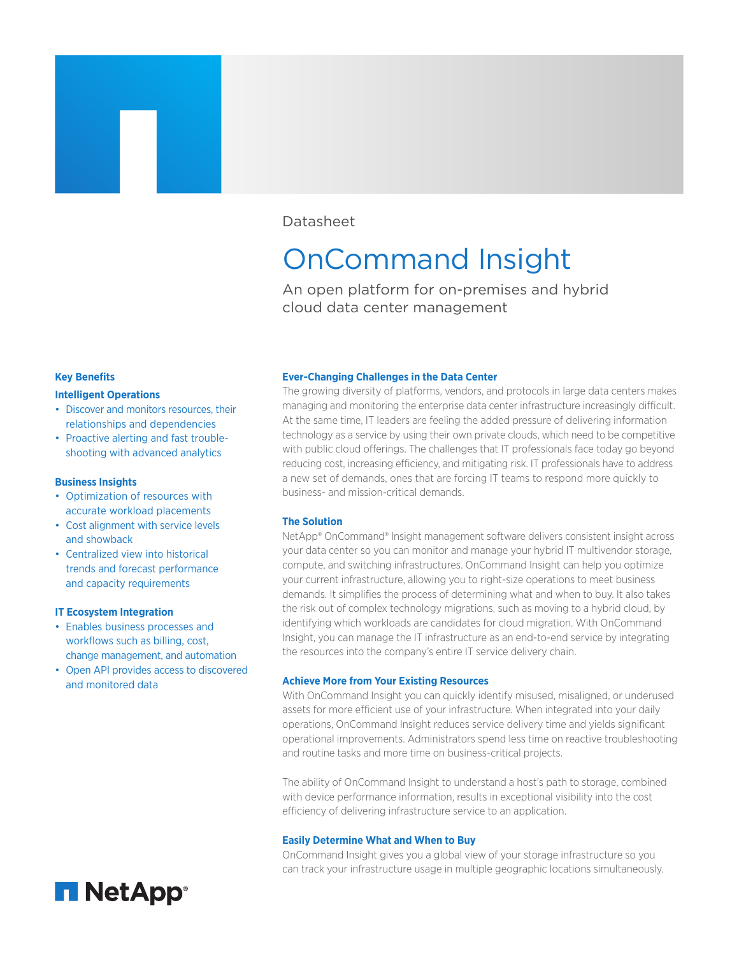## Datasheet

# OnCommand Insight

An open platform for on-premises and hybrid cloud data center management

## **Key Benefits**

#### **Intelligent Operations**

- Discover and monitors resources, their relationships and dependencies
- Proactive alerting and fast troubleshooting with advanced analytics

## **Business Insights**

- Optimization of resources with accurate workload placements
- Cost alignment with service levels and showback
- Centralized view into historical trends and forecast performance and capacity requirements

## **IT Ecosystem Integration**

- Enables business processes and workflows such as billing, cost, change management, and automation
- Open API provides access to discovered and monitored data



#### **Ever-Changing Challenges in the Data Center**

The growing diversity of platforms, vendors, and protocols in large data centers makes managing and monitoring the enterprise data center infrastructure increasingly difficult. At the same time, IT leaders are feeling the added pressure of delivering information technology as a service by using their own private clouds, which need to be competitive with public cloud offerings. The challenges that IT professionals face today go beyond reducing cost, increasing efficiency, and mitigating risk. IT professionals have to address a new set of demands, ones that are forcing IT teams to respond more quickly to business- and mission-critical demands.

## **The Solution**

NetApp® OnCommand® Insight management software delivers consistent insight across your data center so you can monitor and manage your hybrid IT multivendor storage, compute, and switching infrastructures. OnCommand Insight can help you optimize your current infrastructure, allowing you to right-size operations to meet business demands. It simplifies the process of determining what and when to buy. It also takes the risk out of complex technology migrations, such as moving to a hybrid cloud, by identifying which workloads are candidates for cloud migration. With OnCommand Insight, you can manage the IT infrastructure as an end-to-end service by integrating the resources into the company's entire IT service delivery chain.

## **Achieve More from Your Existing Resources**

With OnCommand Insight you can quickly identify misused, misaligned, or underused assets for more efficient use of your infrastructure. When integrated into your daily operations, OnCommand Insight reduces service delivery time and yields significant operational improvements. Administrators spend less time on reactive troubleshooting and routine tasks and more time on business-critical projects.

The ability of OnCommand Insight to understand a host's path to storage, combined with device performance information, results in exceptional visibility into the cost efficiency of delivering infrastructure service to an application.

#### **Easily Determine What and When to Buy**

OnCommand Insight gives you a global view of your storage infrastructure so you can track your infrastructure usage in multiple geographic locations simultaneously.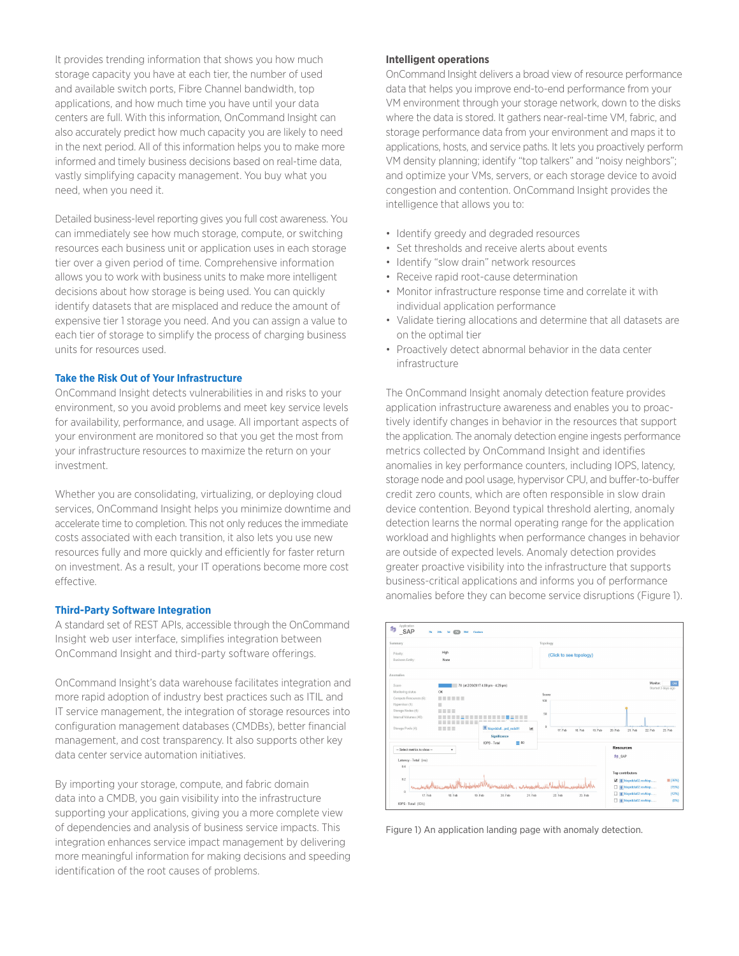It provides trending information that shows you how much storage capacity you have at each tier, the number of used and available switch ports, Fibre Channel bandwidth, top applications, and how much time you have until your data centers are full. With this information, OnCommand Insight can also accurately predict how much capacity you are likely to need in the next period. All of this information helps you to make more informed and timely business decisions based on real-time data, vastly simplifying capacity management. You buy what you need, when you need it.

Detailed business-level reporting gives you full cost awareness. You can immediately see how much storage, compute, or switching resources each business unit or application uses in each storage tier over a given period of time. Comprehensive information allows you to work with business units to make more intelligent decisions about how storage is being used. You can quickly identify datasets that are misplaced and reduce the amount of expensive tier 1 storage you need. And you can assign a value to each tier of storage to simplify the process of charging business units for resources used.

## **Take the Risk Out of Your Infrastructure**

OnCommand Insight detects vulnerabilities in and risks to your environment, so you avoid problems and meet key service levels for availability, performance, and usage. All important aspects of your environment are monitored so that you get the most from your infrastructure resources to maximize the return on your investment.

Whether you are consolidating, virtualizing, or deploying cloud services, OnCommand Insight helps you minimize downtime and accelerate time to completion. This not only reduces the immediate costs associated with each transition, it also lets you use new resources fully and more quickly and efficiently for faster return on investment. As a result, your IT operations become more cost effective.

## **Third-Party Software Integration**

A standard set of REST APIs, accessible through the OnCommand Insight web user interface, simplifies integration between OnCommand Insight and third-party software offerings.

OnCommand Insight's data warehouse facilitates integration and more rapid adoption of industry best practices such as ITIL and IT service management, the integration of storage resources into configuration management databases (CMDBs), better financial management, and cost transparency. It also supports other key data center service automation initiatives.

By importing your storage, compute, and fabric domain data into a CMDB, you gain visibility into the infrastructure supporting your applications, giving you a more complete view of dependencies and analysis of business service impacts. This integration enhances service impact management by delivering more meaningful information for making decisions and speeding identification of the root causes of problems.

#### **Intelligent operations**

OnCommand Insight delivers a broad view of resource performance data that helps you improve end-to-end performance from your VM environment through your storage network, down to the disks where the data is stored. It gathers near-real-time VM, fabric, and storage performance data from your environment and maps it to applications, hosts, and service paths. It lets you proactively perform VM density planning; identify "top talkers" and "noisy neighbors"; and optimize your VMs, servers, or each storage device to avoid congestion and contention. OnCommand Insight provides the intelligence that allows you to:

- Identify greedy and degraded resources
- Set thresholds and receive alerts about events
- Identify "slow drain" network resources
- Receive rapid root-cause determination
- Monitor infrastructure response time and correlate it with individual application performance
- Validate tiering allocations and determine that all datasets are on the optimal tier
- Proactively detect abnormal behavior in the data center infrastructure

The OnCommand Insight anomaly detection feature provides application infrastructure awareness and enables you to proactively identify changes in behavior in the resources that support the application. The anomaly detection engine ingests performance metrics collected by OnCommand Insight and identifies anomalies in key performance counters, including IOPS, latency, storage node and pool usage, hypervisor CPU, and buffer-to-buffer credit zero counts, which are often responsible in slow drain device contention. Beyond typical threshold alerting, anomaly detection learns the normal operating range for the application workload and highlights when performance changes in behavior are outside of expected levels. Anomaly detection provides greater proactive visibility into the infrastructure that supports business-critical applications and informs you of performance anomalies before they can become service disruptions (Figure 1).



Figure 1) An application landing page with anomaly detection.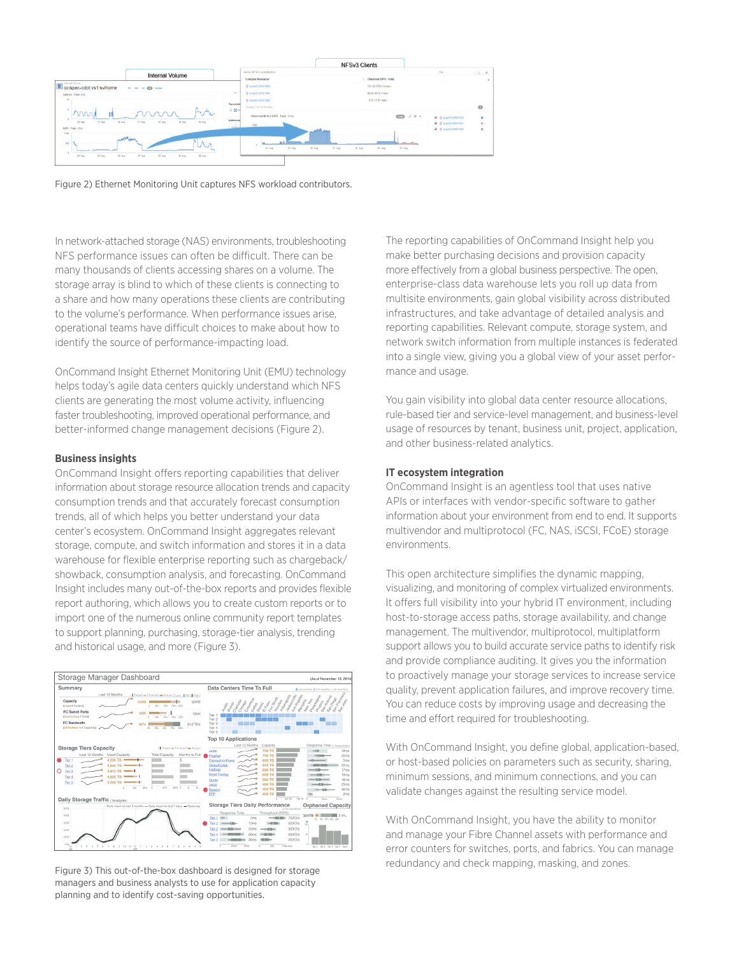

Figure 2) Ethernet Monitoring Unit captures NFS workload contributors.

In network-attached storage (NAS) environments, troubleshooting NFS performance issues can often be difficult. There can be many thousands of clients accessing shares on a volume. The storage array is blind to which of these clients is connecting to a share and how many operations these clients are contributing to the volume's performance. When performance issues arise, operational teams have difficult choices to make about how to identify the source of performance-impacting load.

OnCommand Insight Ethernet Monitoring Unit (EMU) technology helps today's agile data centers quickly understand which NFS clients are generating the most volume activity, influencing faster troubleshooting, improved operational performance, and better-informed change management decisions (Figure 2).

#### **Business insights**

OnCommand Insight offers reporting capabilities that deliver information about storage resource allocation trends and capacity consumption trends and that accurately forecast consumption trends, all of which helps you better understand your data center's ecosystem. OnCommand Insight aggregates relevant storage, compute, and switch information and stores it in a data warehouse for flexible enterprise reporting such as chargeback/ showback, consumption analysis, and forecasting. OnCommand Insight includes many out-of-the-box reports and provides flexible report authoring, which allows you to create custom reports or to import one of the numerous online community report templates to support planning, purchasing, storage-tier analysis, trending and historical usage, and more (Figure 3).



Figure 3) This out-of-the-box dashboard is designed for storage managers and business analysts to use for application capacity planning and to identify cost-saving opportunities.

The reporting capabilities of OnCommand Insight help you make better purchasing decisions and provision capacity more effectively from a global business perspective. The open, enterprise-class data warehouse lets you roll up data from multisite environments, gain global visibility across distributed infrastructures, and take advantage of detailed analysis and reporting capabilities. Relevant compute, storage system, and network switch information from multiple instances is federated into a single view, giving you a global view of your asset performance and usage.

You gain visibility into global data center resource allocations, rule-based tier and service-level management, and business-level usage of resources by tenant, business unit, project, application, and other business-related analytics.

#### **IT ecosystem integration**

OnCommand Insight is an agentless tool that uses native APIs or interfaces with vendor-specific software to gather information about your environment from end to end. It supports multivendor and multiprotocol (FC, NAS, iSCSI, FCoE) storage environments.

This open architecture simplifies the dynamic mapping, visualizing, and monitoring of complex virtualized environments. It offers full visibility into your hybrid IT environment, including host-to-storage access paths, storage availability, and change management. The multivendor, multiprotocol, multiplatform support allows you to build accurate service paths to identify risk and provide compliance auditing. It gives you the information to proactively manage your storage services to increase service quality, prevent application failures, and improve recovery time. You can reduce costs by improving usage and decreasing the time and effort required for troubleshooting.

With OnCommand Insight, you define global, application-based, or host-based policies on parameters such as security, sharing, minimum sessions, and minimum connections, and you can validate changes against the resulting service model.

With OnCommand Insight, you have the ability to monitor and manage your Fibre Channel assets with performance and error counters for switches, ports, and fabrics. You can manage redundancy and check mapping, masking, and zones.